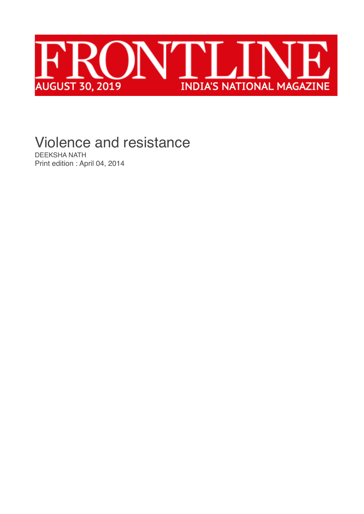

## Violence and resistance

[DEEKSHA NATH](https://frontline.thehindu.com/profile/author/Deeksha-Nath/) Print edition : April 04, 2014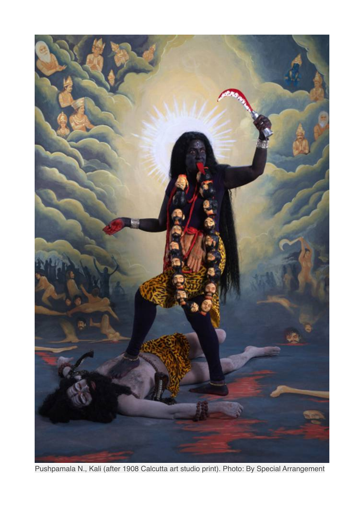

Pushpamala N., Kali (after 1908 Calcutta art studio print). Photo: By Special Arrangement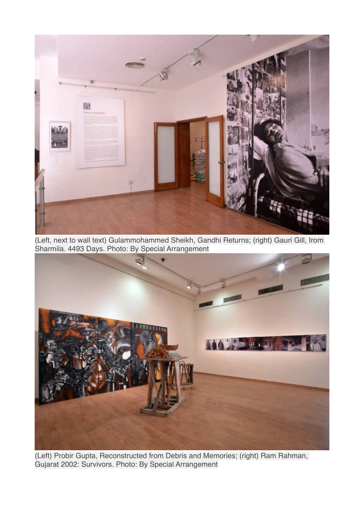

(Left, next to wall text) Gulammohammed Sheikh, Gandhi Returns; (right) Gauri Gill, Irom Sharmila. 4493 Days. Photo: By Special Arrangement



(Left) Probir Gupta, Reconstructed from Debris and Memories; (right) Ram Rahman, Gujarat 2002: Survivors. Photo: By Special Arrangement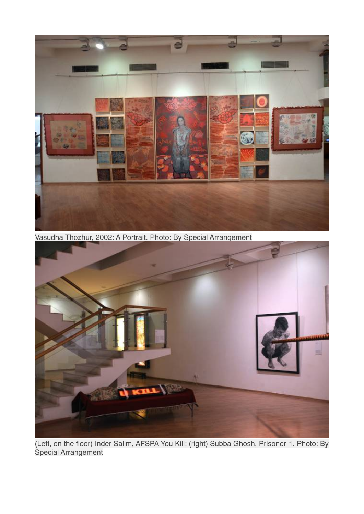

Vasudha Thozhur, 2002: A Portrait. Photo: By Special Arrangement



(Left, on the floor) Inder Salim, AFSPA You Kill; (right) Subba Ghosh, Prisoner-1. Photo: By Special Arrangement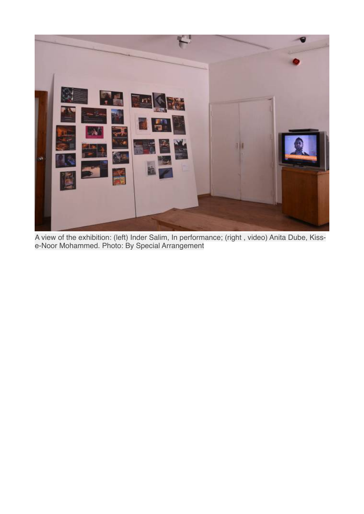

A view of the exhibition: (left) Inder Salim, In performance; (right , video) Anita Dube, Kisse-Noor Mohammed. Photo: By Special Arrangement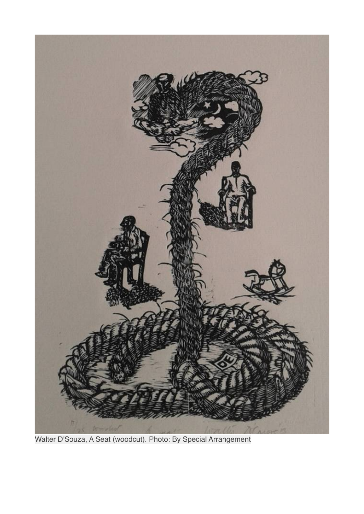

Walter D'Souza, A Seat (woodcut). Photo: By Special Arrangement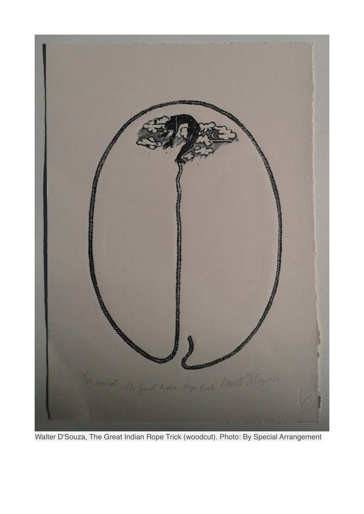

Walter D'Souza, The Great Indian Rope Trick (woodcut). Photo: By Special Arrangement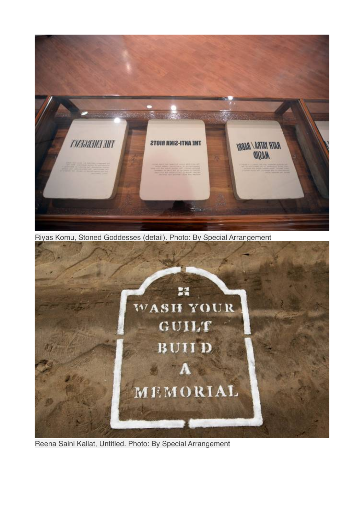

Riyas Komu, Stoned Goddesses (detail). Photo: By Special Arrangement



Reena Saini Kallat, Untitled. Photo: By Special Arrangement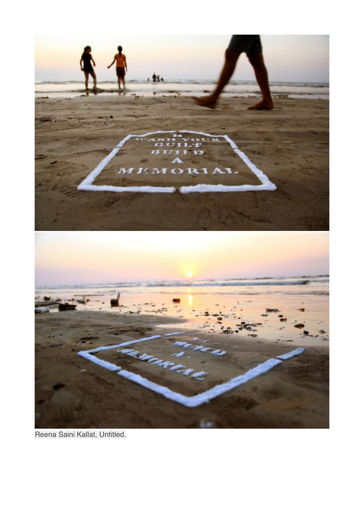

Reena Saini Kallat, Untitled.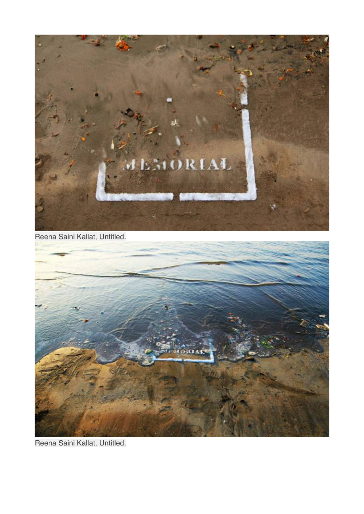

Reena Saini Kallat, Untitled.



Reena Saini Kallat, Untitled.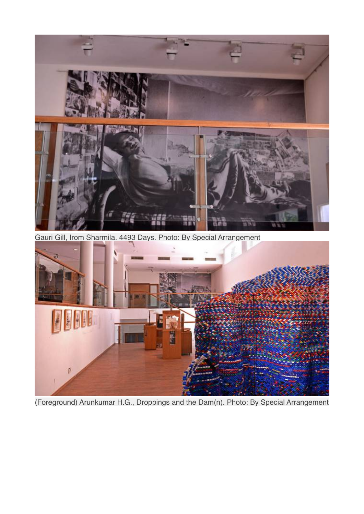

Gauri Gill, Irom Sharmila. 4493 Days. Photo: By Special Arrangement



(Foreground) Arunkumar H.G., Droppings and the Dam(n). Photo: By Special Arrangement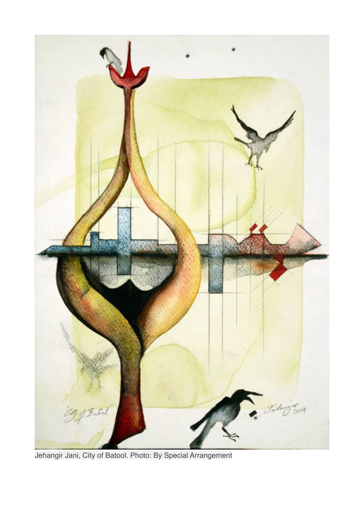

Jehangir Jani, City of Batool. Photo: By Special Arrangement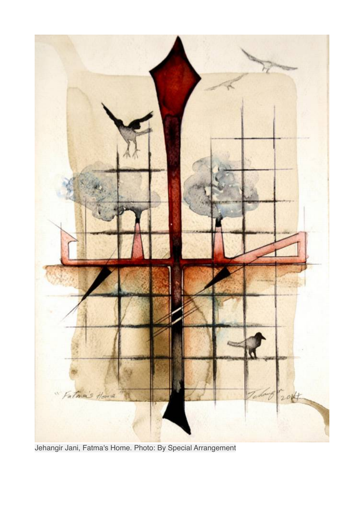

Jehangir Jani, Fatma's Home. Photo: By Special Arrangement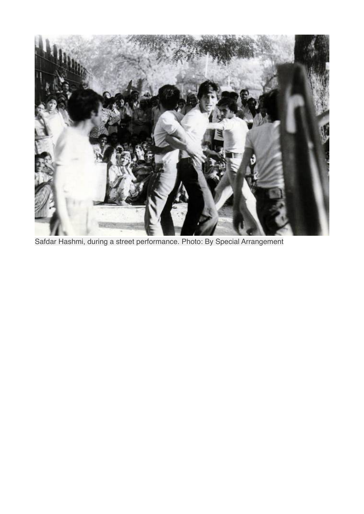

Safdar Hashmi, during a street performance. Photo: By Special Arrangement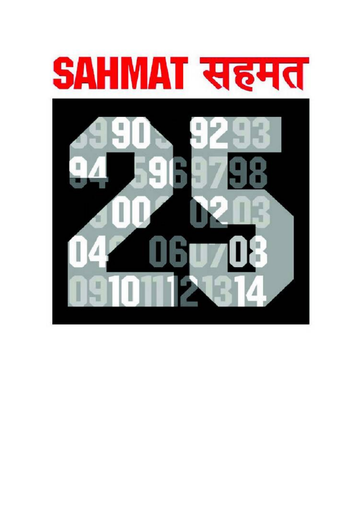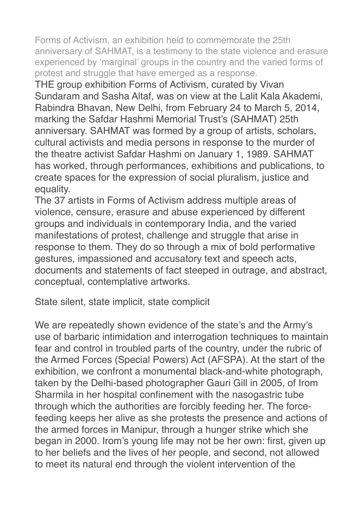Forms of Activism, an exhibition held to commemorate the 25th anniversary of SAHMAT, is a testimony to the state violence and erasure experienced by 'marginal' groups in the country and the varied forms of protest and struggle that have emerged as a response.

THE group exhibition Forms of Activism, curated by Vivan Sundaram and Sasha Altaf, was on view at the Lalit Kala Akademi, Rabindra Bhavan, New Delhi, from February 24 to March 5, 2014, marking the Safdar Hashmi Memorial Trust's (SAHMAT) 25th anniversary. SAHMAT was formed by a group of artists, scholars, cultural activists and media persons in response to the murder of the theatre activist Safdar Hashmi on January 1, 1989. SAHMAT has worked, through performances, exhibitions and publications, to create spaces for the expression of social pluralism, justice and equality.

The 37 artists in Forms of Activism address multiple areas of violence, censure, erasure and abuse experienced by different groups and individuals in contemporary India, and the varied manifestations of protest, challenge and struggle that arise in response to them. They do so through a mix of bold performative gestures, impassioned and accusatory text and speech acts, documents and statements of fact steeped in outrage, and abstract, conceptual, contemplative artworks.

State silent, state implicit, state complicit

We are repeatedly shown evidence of the state's and the Army's use of barbaric intimidation and interrogation techniques to maintain fear and control in troubled parts of the country, under the rubric of the Armed Forces (Special Powers) Act (AFSPA). At the start of the exhibition, we confront a monumental black-and-white photograph, taken by the Delhi-based photographer Gauri Gill in 2005, of Irom Sharmila in her hospital confinement with the nasogastric tube through which the authorities are forcibly feeding her. The forcefeeding keeps her alive as she protests the presence and actions of the armed forces in Manipur, through a hunger strike which she began in 2000. Irom's young life may not be her own: first, given up to her beliefs and the lives of her people, and second, not allowed to meet its natural end through the violent intervention of the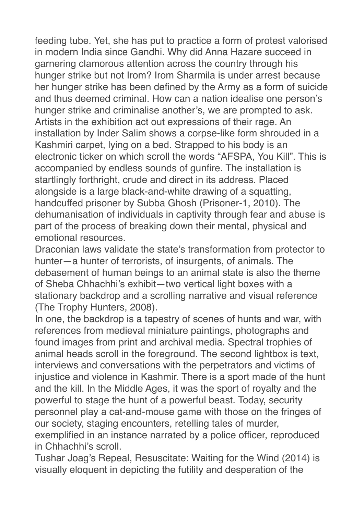feeding tube. Yet, she has put to practice a form of protest valorised in modern India since Gandhi. Why did Anna Hazare succeed in garnering clamorous attention across the country through his hunger strike but not Irom? Irom Sharmila is under arrest because her hunger strike has been defined by the Army as a form of suicide and thus deemed criminal. How can a nation idealise one person's hunger strike and criminalise another's, we are prompted to ask. Artists in the exhibition act out expressions of their rage. An installation by Inder Salim shows a corpse-like form shrouded in a Kashmiri carpet, lying on a bed. Strapped to his body is an electronic ticker on which scroll the words "AFSPA, You Kill". This is accompanied by endless sounds of gunfire. The installation is startlingly forthright, crude and direct in its address. Placed alongside is a large black-and-white drawing of a squatting, handcuffed prisoner by Subba Ghosh (Prisoner-1, 2010). The dehumanisation of individuals in captivity through fear and abuse is part of the process of breaking down their mental, physical and emotional resources.

Draconian laws validate the state's transformation from protector to hunter—a hunter of terrorists, of insurgents, of animals. The debasement of human beings to an animal state is also the theme of Sheba Chhachhi's exhibit—two vertical light boxes with a stationary backdrop and a scrolling narrative and visual reference (The Trophy Hunters, 2008).

In one, the backdrop is a tapestry of scenes of hunts and war, with references from medieval miniature paintings, photographs and found images from print and archival media. Spectral trophies of animal heads scroll in the foreground. The second lightbox is text, interviews and conversations with the perpetrators and victims of injustice and violence in Kashmir. There is a sport made of the hunt and the kill. In the Middle Ages, it was the sport of royalty and the powerful to stage the hunt of a powerful beast. Today, security personnel play a cat-and-mouse game with those on the fringes of our society, staging encounters, retelling tales of murder, exemplified in an instance narrated by a police officer, reproduced in Chhachhi's scroll.

Tushar Joag's Repeal, Resuscitate: Waiting for the Wind (2014) is visually eloquent in depicting the futility and desperation of the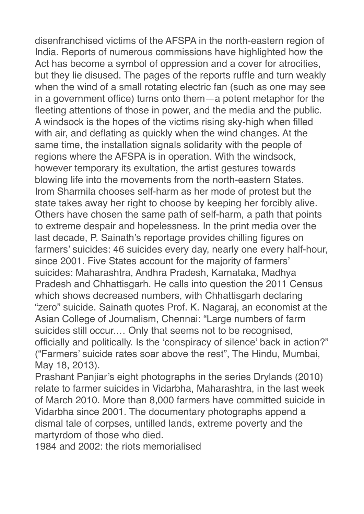disenfranchised victims of the AFSPA in the north-eastern region of India. Reports of numerous commissions have highlighted how the Act has become a symbol of oppression and a cover for atrocities, but they lie disused. The pages of the reports ruffle and turn weakly when the wind of a small rotating electric fan (such as one may see in a government office) turns onto them—a potent metaphor for the fleeting attentions of those in power, and the media and the public. A windsock is the hopes of the victims rising sky-high when filled with air, and deflating as quickly when the wind changes. At the same time, the installation signals solidarity with the people of regions where the AFSPA is in operation. With the windsock, however temporary its exultation, the artist gestures towards blowing life into the movements from the north-eastern States. Irom Sharmila chooses self-harm as her mode of protest but the state takes away her right to choose by keeping her forcibly alive. Others have chosen the same path of self-harm, a path that points to extreme despair and hopelessness. In the print media over the last decade, P. Sainath's reportage provides chilling figures on farmers' suicides: 46 suicides every day, nearly one every half-hour, since 2001. Five States account for the majority of farmers' suicides: Maharashtra, Andhra Pradesh, Karnataka, Madhya Pradesh and Chhattisgarh. He calls into question the 2011 Census which shows decreased numbers, with Chhattisgarh declaring "zero" suicide. Sainath quotes Prof. K. Nagaraj, an economist at the Asian College of Journalism, Chennai: "Large numbers of farm suicides still occur.… Only that seems not to be recognised, officially and politically. Is the 'conspiracy of silence' back in action?" ("Farmers' suicide rates soar above the rest", The Hindu, Mumbai, May 18, 2013).

Prashant Panjiar's eight photographs in the series Drylands (2010) relate to farmer suicides in Vidarbha, Maharashtra, in the last week of March 2010. More than 8,000 farmers have committed suicide in Vidarbha since 2001. The documentary photographs append a dismal tale of corpses, untilled lands, extreme poverty and the martyrdom of those who died.

1984 and 2002: the riots memorialised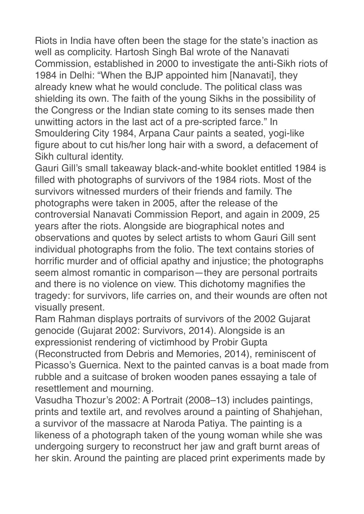Riots in India have often been the stage for the state's inaction as well as complicity. Hartosh Singh Bal wrote of the Nanavati Commission, established in 2000 to investigate the anti-Sikh riots of 1984 in Delhi: "When the BJP appointed him [Nanavati], they already knew what he would conclude. The political class was shielding its own. The faith of the young Sikhs in the possibility of the Congress or the Indian state coming to its senses made then unwitting actors in the last act of a pre-scripted farce." In Smouldering City 1984, Arpana Caur paints a seated, yogi-like figure about to cut his/her long hair with a sword, a defacement of Sikh cultural identity.

Gauri Gill's small takeaway black-and-white booklet entitled 1984 is filled with photographs of survivors of the 1984 riots. Most of the survivors witnessed murders of their friends and family. The photographs were taken in 2005, after the release of the controversial Nanavati Commission Report, and again in 2009, 25 years after the riots. Alongside are biographical notes and observations and quotes by select artists to whom Gauri Gill sent individual photographs from the folio. The text contains stories of horrific murder and of official apathy and injustice; the photographs seem almost romantic in comparison—they are personal portraits and there is no violence on view. This dichotomy magnifies the tragedy: for survivors, life carries on, and their wounds are often not visually present.

Ram Rahman displays portraits of survivors of the 2002 Gujarat genocide (Gujarat 2002: Survivors, 2014). Alongside is an expressionist rendering of victimhood by Probir Gupta (Reconstructed from Debris and Memories, 2014), reminiscent of Picasso's Guernica. Next to the painted canvas is a boat made from rubble and a suitcase of broken wooden panes essaying a tale of resettlement and mourning.

Vasudha Thozur's 2002: A Portrait (2008–13) includes paintings, prints and textile art, and revolves around a painting of Shahjehan, a survivor of the massacre at Naroda Patiya. The painting is a likeness of a photograph taken of the young woman while she was undergoing surgery to reconstruct her jaw and graft burnt areas of her skin. Around the painting are placed print experiments made by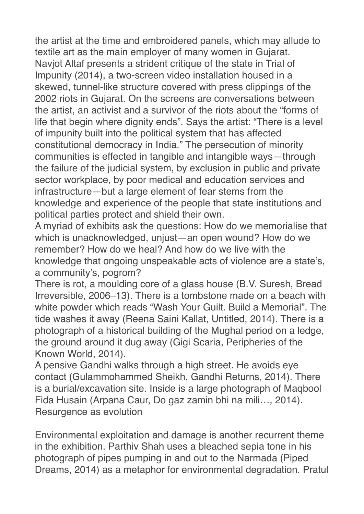the artist at the time and embroidered panels, which may allude to textile art as the main employer of many women in Gujarat. Navjot Altaf presents a strident critique of the state in Trial of Impunity (2014), a two-screen video installation housed in a skewed, tunnel-like structure covered with press clippings of the 2002 riots in Gujarat. On the screens are conversations between the artist, an activist and a survivor of the riots about the "forms of life that begin where dignity ends". Says the artist: "There is a level of impunity built into the political system that has affected constitutional democracy in India." The persecution of minority communities is effected in tangible and intangible ways—through the failure of the judicial system, by exclusion in public and private sector workplace, by poor medical and education services and infrastructure—but a large element of fear stems from the knowledge and experience of the people that state institutions and political parties protect and shield their own.

A myriad of exhibits ask the questions: How do we memorialise that which is unacknowledged, unjust—an open wound? How do we remember? How do we heal? And how do we live with the knowledge that ongoing unspeakable acts of violence are a state's, a community's, pogrom?

There is rot, a moulding core of a glass house (B.V. Suresh, Bread Irreversible, 2006–13). There is a tombstone made on a beach with white powder which reads "Wash Your Guilt. Build a Memorial". The tide washes it away (Reena Saini Kallat, Untitled, 2014). There is a photograph of a historical building of the Mughal period on a ledge, the ground around it dug away (Gigi Scaria, Peripheries of the Known World, 2014).

A pensive Gandhi walks through a high street. He avoids eye contact (Gulammohammed Sheikh, Gandhi Returns, 2014). There is a burial/excavation site. Inside is a large photograph of Maqbool Fida Husain (Arpana Caur, Do gaz zamin bhi na mili…, 2014). Resurgence as evolution

Environmental exploitation and damage is another recurrent theme in the exhibition. Parthiv Shah uses a bleached sepia tone in his photograph of pipes pumping in and out to the Narmada (Piped Dreams, 2014) as a metaphor for environmental degradation. Pratul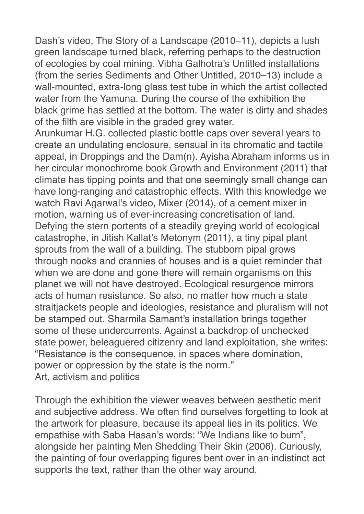Dash's video, The Story of a Landscape (2010–11), depicts a lush green landscape turned black, referring perhaps to the destruction of ecologies by coal mining. Vibha Galhotra's Untitled installations (from the series Sediments and Other Untitled, 2010–13) include a wall-mounted, extra-long glass test tube in which the artist collected water from the Yamuna. During the course of the exhibition the black grime has settled at the bottom. The water is dirty and shades of the filth are visible in the graded grey water.

Arunkumar H.G. collected plastic bottle caps over several years to create an undulating enclosure, sensual in its chromatic and tactile appeal, in Droppings and the Dam(n). Ayisha Abraham informs us in her circular monochrome book Growth and Environment (2011) that climate has tipping points and that one seemingly small change can have long-ranging and catastrophic effects. With this knowledge we watch Ravi Agarwal's video, Mixer (2014), of a cement mixer in motion, warning us of ever-increasing concretisation of land. Defying the stern portents of a steadily greying world of ecological catastrophe, in Jitish Kallat's Metonym (2011), a tiny pipal plant sprouts from the wall of a building. The stubborn pipal grows through nooks and crannies of houses and is a quiet reminder that when we are done and gone there will remain organisms on this planet we will not have destroyed. Ecological resurgence mirrors acts of human resistance. So also, no matter how much a state straitjackets people and ideologies, resistance and pluralism will not be stamped out. Sharmila Samant's installation brings together some of these undercurrents. Against a backdrop of unchecked state power, beleaguered citizenry and land exploitation, she writes: "Resistance is the consequence, in spaces where domination, power or oppression by the state is the norm." Art, activism and politics

Through the exhibition the viewer weaves between aesthetic merit and subjective address. We often find ourselves forgetting to look at the artwork for pleasure, because its appeal lies in its politics. We empathise with Saba Hasan's words: "We Indians like to burn", alongside her painting Men Shedding Their Skin (2006). Curiously, the painting of four overlapping figures bent over in an indistinct act supports the text, rather than the other way around.